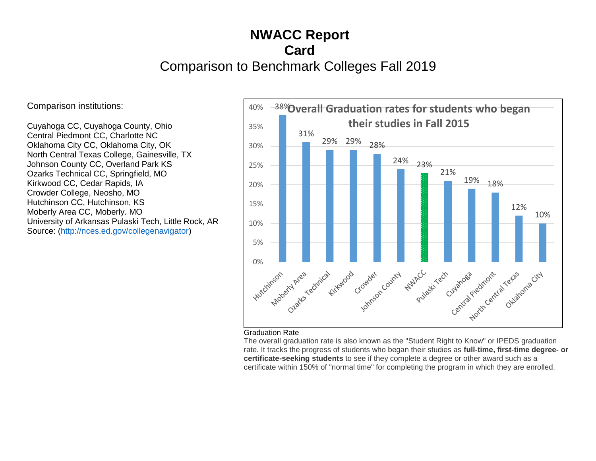## **NWACC Report Card**  Comparison to Benchmark Colleges Fall 2019

Comparison institutions:

Cuyahoga CC, Cuyahoga County, Ohio Central Piedmont CC, Charlotte NC Oklahoma City CC, Oklahoma City, OK North Central Texas College, Gainesville, TX Johnson County CC, Overland Park KS Ozarks Technical CC, Springfield, MO Kirkwood CC, Cedar Rapids, IA Crowder College, Neosho, MO Hutchinson CC, Hutchinson, KS Moberly Area CC, Moberly. MO University of Arkansas Pulaski Tech, Little Rock, AR Source: [\(http://nces.ed.gov/collegenavigator\)](http://nces.ed.gov/collegenavigator)



## Graduation Rate

The overall graduation rate is also known as the "Student Right to Know" or IPEDS graduation rate. It tracks the progress of students who began their studies as **full-time, first-time degree- or certificate-seeking students** to see if they complete a degree or other award such as a certificate within 150% of "normal time" for completing the program in which they are enrolled.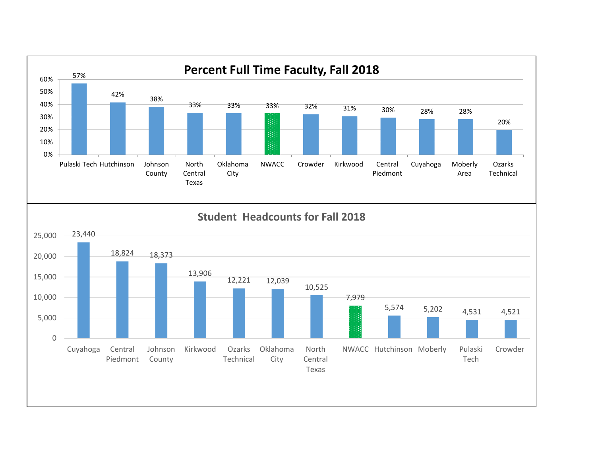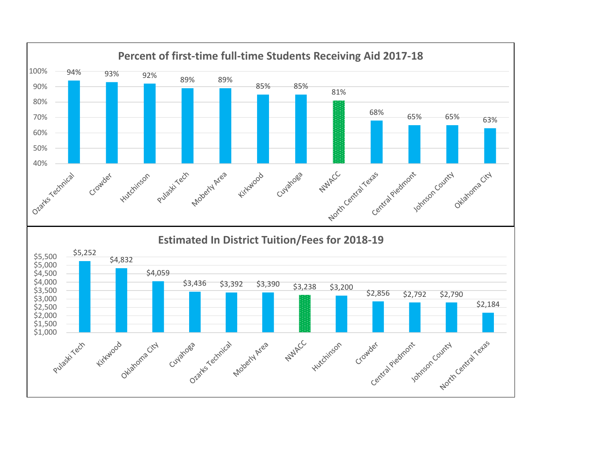